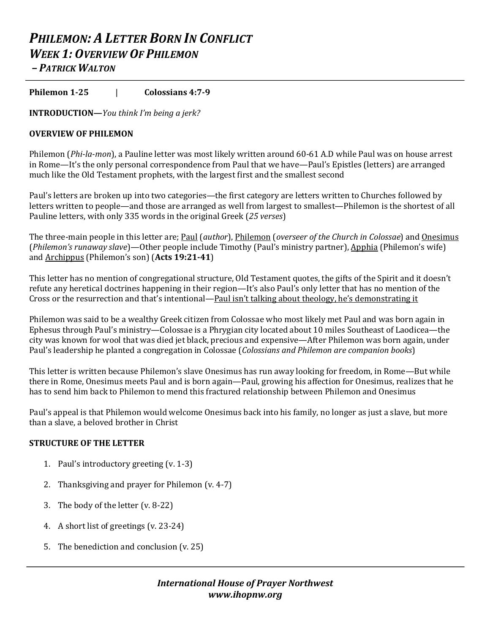# *PHILEMON: A LETTER BORN IN CONFLICT WEEK 1: OVERVIEW OF PHILEMON – PATRICK WALTON*

**Philemon 1-25** | **Colossians 4:7-9**

**INTRODUCTION—***You think* I'm being a jerk?

## **OVERVIEW OF PHILEMON**

Philemon (*Phi-la-mon*), a Pauline letter was most likely written around 60-61 A.D while Paul was on house arrest in Rome—It's the only personal correspondence from Paul that we have—Paul's Epistles (letters) are arranged much like the Old Testament prophets, with the largest first and the smallest second

Paul's letters are broken up into two categories—the first category are letters written to Churches followed by letters written to people—and those are arranged as well from largest to smallest—Philemon is the shortest of all Pauline letters, with only 335 words in the original Greek (25 verses)

The three-main people in this letter are; Paul (*author*), Philemon (*overseer of the Church* in *Colossae*) and <u>Onesimus</u> (*Philemon's runaway slave*)—Other people include Timothy (Paul's ministry partner), Apphia (Philemon's wife) and **Archippus** (Philemon's son) (Acts 19:21-41)

This letter has no mention of congregational structure, Old Testament quotes, the gifts of the Spirit and it doesn't refute any heretical doctrines happening in their region—It's also Paul's only letter that has no mention of the Cross or the resurrection and that's intentional—Paul isn't talking about theology, he's demonstrating it

Philemon was said to be a wealthy Greek citizen from Colossae who most likely met Paul and was born again in Ephesus through Paul's ministry—Colossae is a Phrygian city located about 10 miles Southeast of Laodicea—the city was known for wool that was died jet black, precious and expensive—After Philemon was born again, under Paul's leadership he planted a congregation in Colossae (*Colossians and Philemon are companion books*)

This letter is written because Philemon's slave Onesimus has run away looking for freedom, in Rome—But while there in Rome, Onesimus meets Paul and is born again—Paul, growing his affection for Onesimus, realizes that he has to send him back to Philemon to mend this fractured relationship between Philemon and Onesimus

Paul's appeal is that Philemon would welcome Onesimus back into his family, no longer as just a slave, but more than a slave, a beloved brother in Christ

#### **STRUCTURE OF THE LETTER**

- 1. Paul's introductory greeting  $(v. 1-3)$
- 2. Thanksgiving and prayer for Philemon  $(v. 4-7)$
- 3. The body of the letter  $(v. 8-22)$
- 4. A short list of greetings (v. 23-24)
- 5. The benediction and conclusion  $(v. 25)$